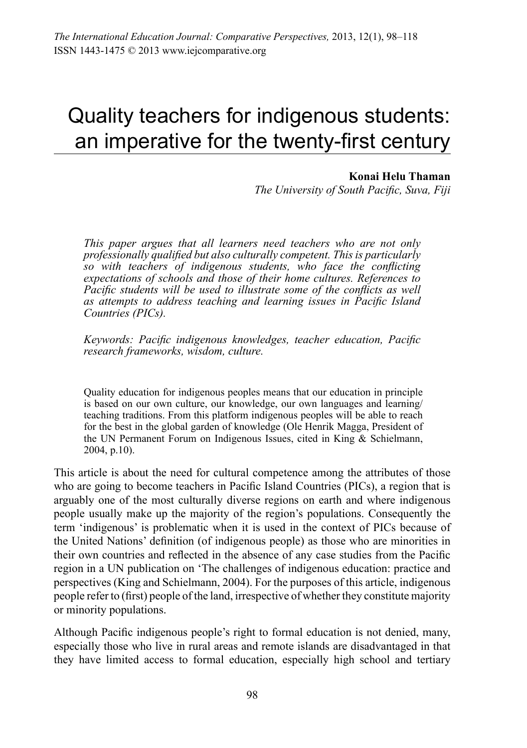# Quality teachers for indigenous students: an imperative for the twenty-first century

#### **Konai Helu Thaman**

*The University of South Pacific, Suva, Fiji*

*This paper argues that all learners need teachers who are not only professionally qualified but also culturally competent. This is particularly so with teachers of indigenous students, who face the conflicting expectations of schools and those of their home cultures. References to Pacific students will be used to illustrate some of the conflicts as well as attempts to address teaching and learning issues in Pacific Island Countries (PICs).*

*Keywords: Pacific indigenous knowledges, teacher education, Pacific research frameworks, wisdom, culture.*

Quality education for indigenous peoples means that our education in principle is based on our own culture, our knowledge, our own languages and learning/ teaching traditions. From this platform indigenous peoples will be able to reach for the best in the global garden of knowledge (Ole Henrik Magga, President of the UN Permanent Forum on Indigenous Issues, cited in King & Schielmann, 2004, p.10).

This article is about the need for cultural competence among the attributes of those who are going to become teachers in Pacific Island Countries (PICs), a region that is arguably one of the most culturally diverse regions on earth and where indigenous people usually make up the majority of the region's populations. Consequently the term 'indigenous' is problematic when it is used in the context of PICs because of the United Nations' definition (of indigenous people) as those who are minorities in their own countries and reflected in the absence of any case studies from the Pacific region in a UN publication on 'The challenges of indigenous education: practice and perspectives (King and Schielmann, 2004). For the purposes of this article, indigenous people refer to (first) people of the land, irrespective of whether they constitute majority or minority populations.

Although Pacific indigenous people's right to formal education is not denied, many, especially those who live in rural areas and remote islands are disadvantaged in that they have limited access to formal education, especially high school and tertiary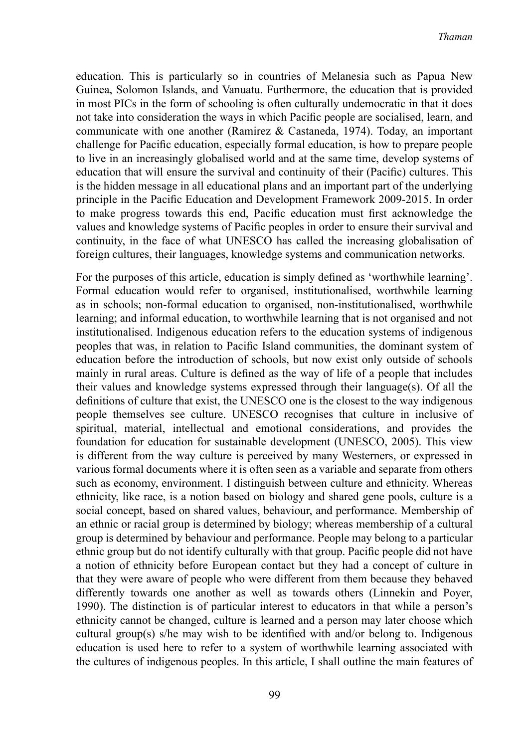education. This is particularly so in countries of Melanesia such as Papua New Guinea, Solomon Islands, and Vanuatu. Furthermore, the education that is provided in most PICs in the form of schooling is often culturally undemocratic in that it does not take into consideration the ways in which Pacific people are socialised, learn, and communicate with one another (Ramirez & Castaneda, 1974). Today, an important challenge for Pacific education, especially formal education, is how to prepare people to live in an increasingly globalised world and at the same time, develop systems of education that will ensure the survival and continuity of their (Pacific) cultures. This is the hidden message in all educational plans and an important part of the underlying principle in the Pacific Education and Development Framework 2009-2015. In order to make progress towards this end, Pacific education must first acknowledge the values and knowledge systems of Pacific peoples in order to ensure their survival and continuity, in the face of what UNESCO has called the increasing globalisation of foreign cultures, their languages, knowledge systems and communication networks.

For the purposes of this article, education is simply defined as 'worthwhile learning'. Formal education would refer to organised, institutionalised, worthwhile learning as in schools; non-formal education to organised, non-institutionalised, worthwhile learning; and informal education, to worthwhile learning that is not organised and not institutionalised. Indigenous education refers to the education systems of indigenous peoples that was, in relation to Pacific Island communities, the dominant system of education before the introduction of schools, but now exist only outside of schools mainly in rural areas. Culture is defined as the way of life of a people that includes their values and knowledge systems expressed through their language(s). Of all the definitions of culture that exist, the UNESCO one is the closest to the way indigenous people themselves see culture. UNESCO recognises that culture in inclusive of spiritual, material, intellectual and emotional considerations, and provides the foundation for education for sustainable development (UNESCO, 2005). This view is different from the way culture is perceived by many Westerners, or expressed in various formal documents where it is often seen as a variable and separate from others such as economy, environment. I distinguish between culture and ethnicity. Whereas ethnicity, like race, is a notion based on biology and shared gene pools, culture is a social concept, based on shared values, behaviour, and performance. Membership of an ethnic or racial group is determined by biology; whereas membership of a cultural group is determined by behaviour and performance. People may belong to a particular ethnic group but do not identify culturally with that group. Pacific people did not have a notion of ethnicity before European contact but they had a concept of culture in that they were aware of people who were different from them because they behaved differently towards one another as well as towards others (Linnekin and Poyer, 1990). The distinction is of particular interest to educators in that while a person's ethnicity cannot be changed, culture is learned and a person may later choose which cultural group(s) s/he may wish to be identified with and/or belong to. Indigenous education is used here to refer to a system of worthwhile learning associated with the cultures of indigenous peoples. In this article, I shall outline the main features of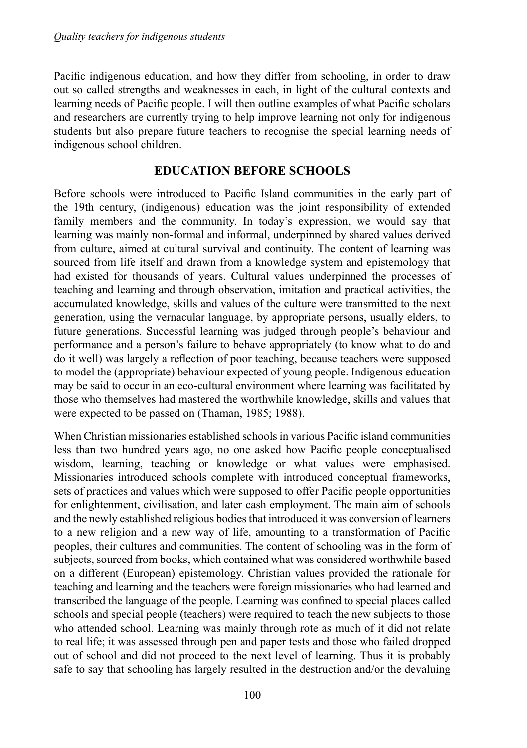Pacific indigenous education, and how they differ from schooling, in order to draw out so called strengths and weaknesses in each, in light of the cultural contexts and learning needs of Pacific people. I will then outline examples of what Pacific scholars and researchers are currently trying to help improve learning not only for indigenous students but also prepare future teachers to recognise the special learning needs of indigenous school children.

## **Education before schools**

Before schools were introduced to Pacific Island communities in the early part of the 19th century, (indigenous) education was the joint responsibility of extended family members and the community. In today's expression, we would say that learning was mainly non-formal and informal, underpinned by shared values derived from culture, aimed at cultural survival and continuity. The content of learning was sourced from life itself and drawn from a knowledge system and epistemology that had existed for thousands of years. Cultural values underpinned the processes of teaching and learning and through observation, imitation and practical activities, the accumulated knowledge, skills and values of the culture were transmitted to the next generation, using the vernacular language, by appropriate persons, usually elders, to future generations. Successful learning was judged through people's behaviour and performance and a person's failure to behave appropriately (to know what to do and do it well) was largely a reflection of poor teaching, because teachers were supposed to model the (appropriate) behaviour expected of young people. Indigenous education may be said to occur in an eco-cultural environment where learning was facilitated by those who themselves had mastered the worthwhile knowledge, skills and values that were expected to be passed on (Thaman, 1985; 1988).

When Christian missionaries established schoolsin various Pacific island communities less than two hundred years ago, no one asked how Pacific people conceptualised wisdom, learning, teaching or knowledge or what values were emphasised. Missionaries introduced schools complete with introduced conceptual frameworks, sets of practices and values which were supposed to offer Pacific people opportunities for enlightenment, civilisation, and later cash employment. The main aim of schools and the newly established religious bodiesthat introduced it was conversion of learners to a new religion and a new way of life, amounting to a transformation of Pacific peoples, their cultures and communities. The content of schooling was in the form of subjects, sourced from books, which contained what was considered worthwhile based on a different (European) epistemology. Christian values provided the rationale for teaching and learning and the teachers were foreign missionaries who had learned and transcribed the language of the people. Learning was confined to special places called schools and special people (teachers) were required to teach the new subjects to those who attended school. Learning was mainly through rote as much of it did not relate to real life; it was assessed through pen and paper tests and those who failed dropped out of school and did not proceed to the next level of learning. Thus it is probably safe to say that schooling has largely resulted in the destruction and/or the devaluing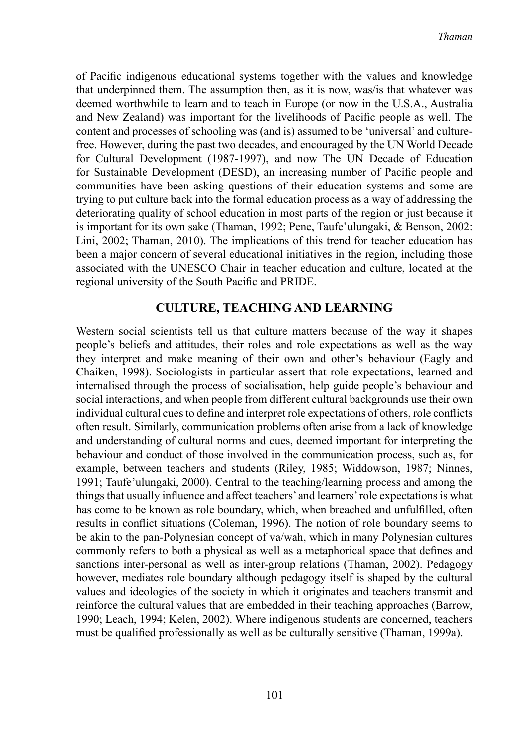of Pacific indigenous educational systems together with the values and knowledge that underpinned them. The assumption then, as it is now, was/is that whatever was deemed worthwhile to learn and to teach in Europe (or now in the U.S.A., Australia and New Zealand) was important for the livelihoods of Pacific people as well. The content and processes of schooling was (and is) assumed to be 'universal' and culturefree. However, during the past two decades, and encouraged by the UN World Decade for Cultural Development (1987-1997), and now The UN Decade of Education for Sustainable Development (DESD), an increasing number of Pacific people and communities have been asking questions of their education systems and some are trying to put culture back into the formal education process as a way of addressing the deteriorating quality of school education in most parts of the region or just because it is important for its own sake (Thaman, 1992; Pene, Taufe'ulungaki, & Benson, 2002: Lini, 2002; Thaman, 2010). The implications of this trend for teacher education has been a major concern of several educational initiatives in the region, including those associated with the UNESCO Chair in teacher education and culture, located at the regional university of the South Pacific and PRIDE.

## **Culture, Teaching and Learning**

Western social scientists tell us that culture matters because of the way it shapes people's beliefs and attitudes, their roles and role expectations as well as the way they interpret and make meaning of their own and other's behaviour (Eagly and Chaiken, 1998). Sociologists in particular assert that role expectations, learned and internalised through the process of socialisation, help guide people's behaviour and social interactions, and when people from different cultural backgrounds use their own individual cultural cuesto define and interpret role expectations of others, role conflicts often result. Similarly, communication problems often arise from a lack of knowledge and understanding of cultural norms and cues, deemed important for interpreting the behaviour and conduct of those involved in the communication process, such as, for example, between teachers and students (Riley, 1985; Widdowson, 1987; Ninnes, 1991; Taufe'ulungaki, 2000). Central to the teaching/learning process and among the things that usually influence and affect teachers' and learners'role expectations is what has come to be known as role boundary, which, when breached and unfulfilled, often results in conflict situations (Coleman, 1996). The notion of role boundary seems to be akin to the pan-Polynesian concept of va/wah, which in many Polynesian cultures commonly refers to both a physical as well as a metaphorical space that defines and sanctions inter-personal as well as inter-group relations (Thaman, 2002). Pedagogy however, mediates role boundary although pedagogy itself is shaped by the cultural values and ideologies of the society in which it originates and teachers transmit and reinforce the cultural values that are embedded in their teaching approaches (Barrow, 1990; Leach, 1994; Kelen, 2002). Where indigenous students are concerned, teachers must be qualified professionally as well as be culturally sensitive (Thaman, 1999a).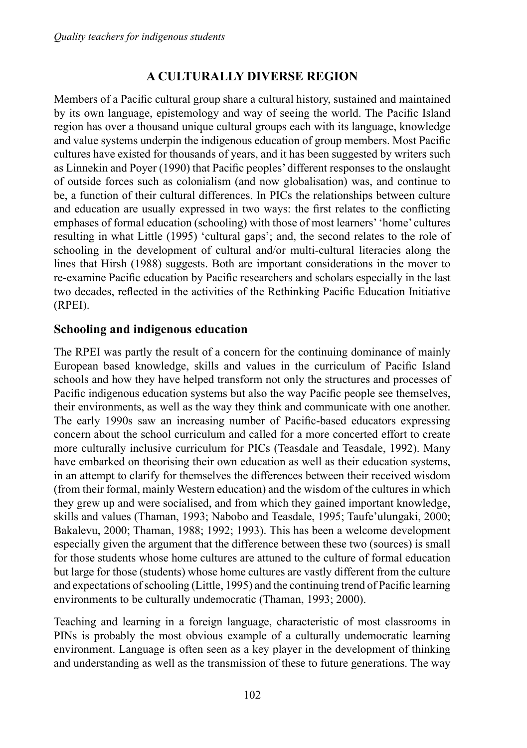# **A culturally diverse region**

Members of a Pacific cultural group share a cultural history, sustained and maintained by its own language, epistemology and way of seeing the world. The Pacific Island region has over a thousand unique cultural groups each with its language, knowledge and value systems underpin the indigenous education of group members. Most Pacific cultures have existed for thousands of years, and it has been suggested by writers such as Linnekin and Poyer (1990) that Pacific peoples' different responses to the onslaught of outside forces such as colonialism (and now globalisation) was, and continue to be, a function of their cultural differences. In PICs the relationships between culture and education are usually expressed in two ways: the first relates to the conflicting emphases of formal education (schooling) with those of most learners''home' cultures resulting in what Little (1995) 'cultural gaps'; and, the second relates to the role of schooling in the development of cultural and/or multi-cultural literacies along the lines that Hirsh (1988) suggests. Both are important considerations in the mover to re-examine Pacific education by Pacific researchers and scholars especially in the last two decades, reflected in the activities of the Rethinking Pacific Education Initiative (RPEI).

## **Schooling and indigenous education**

The RPEI was partly the result of a concern for the continuing dominance of mainly European based knowledge, skills and values in the curriculum of Pacific Island schools and how they have helped transform not only the structures and processes of Pacific indigenous education systems but also the way Pacific people see themselves, their environments, as well as the way they think and communicate with one another. The early 1990s saw an increasing number of Pacific-based educators expressing concern about the school curriculum and called for a more concerted effort to create more culturally inclusive curriculum for PICs (Teasdale and Teasdale, 1992). Many have embarked on theorising their own education as well as their education systems, in an attempt to clarify for themselves the differences between their received wisdom (from their formal, mainly Western education) and the wisdom of the cultures in which they grew up and were socialised, and from which they gained important knowledge, skills and values (Thaman, 1993; Nabobo and Teasdale, 1995; Taufe'ulungaki, 2000; Bakalevu, 2000; Thaman, 1988; 1992; 1993). This has been a welcome development especially given the argument that the difference between these two (sources) is small for those students whose home cultures are attuned to the culture of formal education but large for those (students) whose home cultures are vastly different from the culture and expectations ofschooling (Little, 1995) and the continuing trend of Pacific learning environments to be culturally undemocratic (Thaman, 1993; 2000).

Teaching and learning in a foreign language, characteristic of most classrooms in PINs is probably the most obvious example of a culturally undemocratic learning environment. Language is often seen as a key player in the development of thinking and understanding as well as the transmission of these to future generations. The way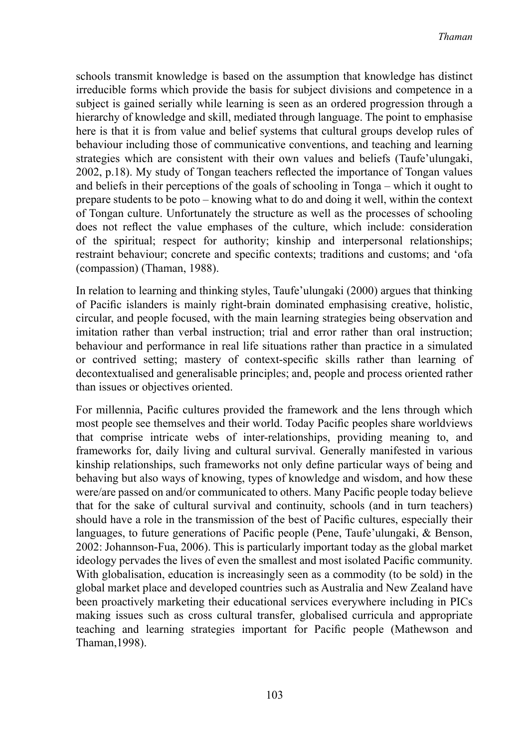schools transmit knowledge is based on the assumption that knowledge has distinct irreducible forms which provide the basis for subject divisions and competence in a subject is gained serially while learning is seen as an ordered progression through a hierarchy of knowledge and skill, mediated through language. The point to emphasise here is that it is from value and belief systems that cultural groups develop rules of behaviour including those of communicative conventions, and teaching and learning strategies which are consistent with their own values and beliefs (Taufe'ulungaki, 2002, p.18). My study of Tongan teachers reflected the importance of Tongan values and beliefs in their perceptions of the goals of schooling in Tonga – which it ought to prepare students to be poto – knowing what to do and doing it well, within the context of Tongan culture. Unfortunately the structure as well as the processes of schooling does not reflect the value emphases of the culture, which include: consideration of the spiritual; respect for authority; kinship and interpersonal relationships; restraint behaviour; concrete and specific contexts; traditions and customs; and 'ofa (compassion) (Thaman, 1988).

In relation to learning and thinking styles, Taufe'ulungaki (2000) argues that thinking of Pacific islanders is mainly right-brain dominated emphasising creative, holistic, circular, and people focused, with the main learning strategies being observation and imitation rather than verbal instruction; trial and error rather than oral instruction; behaviour and performance in real life situations rather than practice in a simulated or contrived setting; mastery of context-specific skills rather than learning of decontextualised and generalisable principles; and, people and process oriented rather than issues or objectives oriented.

For millennia, Pacific cultures provided the framework and the lens through which most people see themselves and their world. Today Pacific peoples share worldviews that comprise intricate webs of inter-relationships, providing meaning to, and frameworks for, daily living and cultural survival. Generally manifested in various kinship relationships, such frameworks not only define particular ways of being and behaving but also ways of knowing, types of knowledge and wisdom, and how these were/are passed on and/or communicated to others. Many Pacific people today believe that for the sake of cultural survival and continuity, schools (and in turn teachers) should have a role in the transmission of the best of Pacific cultures, especially their languages, to future generations of Pacific people (Pene, Taufe'ulungaki, & Benson, 2002: Johannson-Fua, 2006). This is particularly important today as the global market ideology pervades the lives of even the smallest and most isolated Pacific community. With globalisation, education is increasingly seen as a commodity (to be sold) in the global market place and developed countries such as Australia and New Zealand have been proactively marketing their educational services everywhere including in PICs making issues such as cross cultural transfer, globalised curricula and appropriate teaching and learning strategies important for Pacific people (Mathewson and Thaman,1998).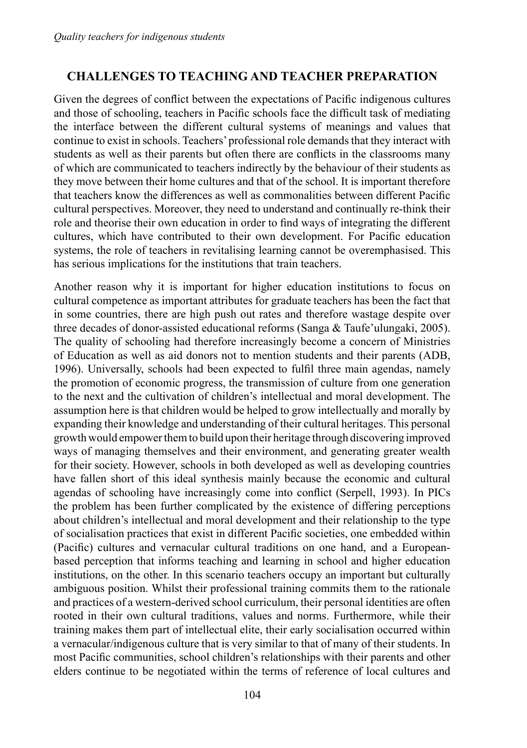## **Challenges to teaching and teacher preparation**

Given the degrees of conflict between the expectations of Pacific indigenous cultures and those of schooling, teachers in Pacific schools face the difficult task of mediating the interface between the different cultural systems of meanings and values that continue to exist in schools. Teachers'professional role demandsthat they interact with students as well as their parents but often there are conflicts in the classrooms many of which are communicated to teachers indirectly by the behaviour of their students as they move between their home cultures and that of the school. It is important therefore that teachers know the differences as well as commonalities between different Pacific cultural perspectives. Moreover, they need to understand and continually re-think their role and theorise their own education in order to find ways of integrating the different cultures, which have contributed to their own development. For Pacific education systems, the role of teachers in revitalising learning cannot be overemphasised. This has serious implications for the institutions that train teachers.

Another reason why it is important for higher education institutions to focus on cultural competence as important attributes for graduate teachers has been the fact that in some countries, there are high push out rates and therefore wastage despite over three decades of donor-assisted educational reforms (Sanga & Taufe'ulungaki, 2005). The quality of schooling had therefore increasingly become a concern of Ministries of Education as well as aid donors not to mention students and their parents (ADB, 1996). Universally, schools had been expected to fulfil three main agendas, namely the promotion of economic progress, the transmission of culture from one generation to the next and the cultivation of children's intellectual and moral development. The assumption here is that children would be helped to grow intellectually and morally by expanding their knowledge and understanding of their cultural heritages. This personal growth would empowerthemto build upon their heritage through discovering improved ways of managing themselves and their environment, and generating greater wealth for their society. However, schools in both developed as well as developing countries have fallen short of this ideal synthesis mainly because the economic and cultural agendas of schooling have increasingly come into conflict (Serpell, 1993). In PICs the problem has been further complicated by the existence of differing perceptions about children's intellectual and moral development and their relationship to the type of socialisation practices that exist in different Pacific societies, one embedded within (Pacific) cultures and vernacular cultural traditions on one hand, and a Europeanbased perception that informs teaching and learning in school and higher education institutions, on the other. In this scenario teachers occupy an important but culturally ambiguous position. Whilst their professional training commits them to the rationale and practices of a western-derived school curriculum, their personal identities are often rooted in their own cultural traditions, values and norms. Furthermore, while their training makes them part of intellectual elite, their early socialisation occurred within a vernacular/indigenous culture that is very similar to that of many of their students. In most Pacific communities, school children's relationships with their parents and other elders continue to be negotiated within the terms of reference of local cultures and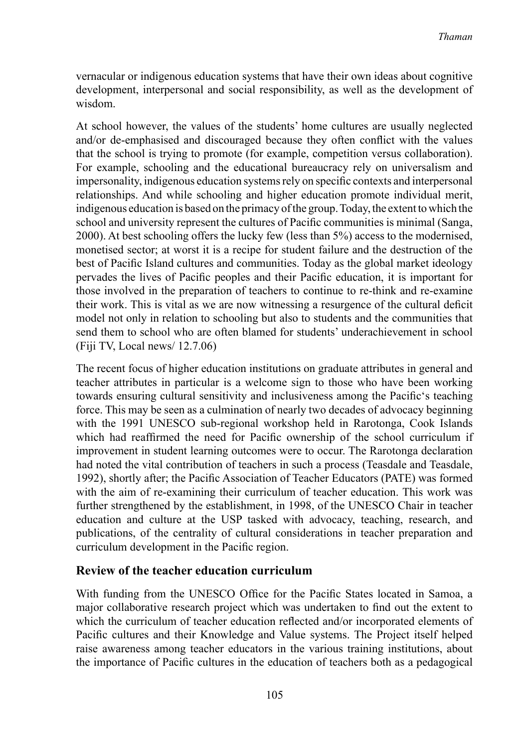vernacular or indigenous education systems that have their own ideas about cognitive development, interpersonal and social responsibility, as well as the development of wisdom.

At school however, the values of the students' home cultures are usually neglected and/or de-emphasised and discouraged because they often conflict with the values that the school is trying to promote (for example, competition versus collaboration). For example, schooling and the educational bureaucracy rely on universalism and impersonality, indigenous education systemsrely on specific contexts and interpersonal relationships. And while schooling and higher education promote individual merit, indigenous education is based on the primacy ofthe group.Today,the extenttowhich the school and university represent the cultures of Pacific communities is minimal (Sanga, 2000). At best schooling offers the lucky few (less than 5%) access to the modernised, monetised sector; at worst it is a recipe for student failure and the destruction of the best of Pacific Island cultures and communities. Today as the global market ideology pervades the lives of Pacific peoples and their Pacific education, it is important for those involved in the preparation of teachers to continue to re-think and re-examine their work. This is vital as we are now witnessing a resurgence of the cultural deficit model not only in relation to schooling but also to students and the communities that send them to school who are often blamed for students' underachievement in school (Fiji TV, Local news/ 12.7.06)

The recent focus of higher education institutions on graduate attributes in general and teacher attributes in particular is a welcome sign to those who have been working towards ensuring cultural sensitivity and inclusiveness among the Pacific's teaching force. This may be seen as a culmination of nearly two decades of advocacy beginning with the 1991 UNESCO sub-regional workshop held in Rarotonga, Cook Islands which had reaffirmed the need for Pacific ownership of the school curriculum if improvement in student learning outcomes were to occur. The Rarotonga declaration had noted the vital contribution of teachers in such a process (Teasdale and Teasdale, 1992), shortly after; the Pacific Association of Teacher Educators (PATE) was formed with the aim of re-examining their curriculum of teacher education. This work was further strengthened by the establishment, in 1998, of the UNESCO Chair in teacher education and culture at the USP tasked with advocacy, teaching, research, and publications, of the centrality of cultural considerations in teacher preparation and curriculum development in the Pacific region.

## **Review of the teacher education curriculum**

With funding from the UNESCO Office for the Pacific States located in Samoa, a major collaborative research project which was undertaken to find out the extent to which the curriculum of teacher education reflected and/or incorporated elements of Pacific cultures and their Knowledge and Value systems. The Project itself helped raise awareness among teacher educators in the various training institutions, about the importance of Pacific cultures in the education of teachers both as a pedagogical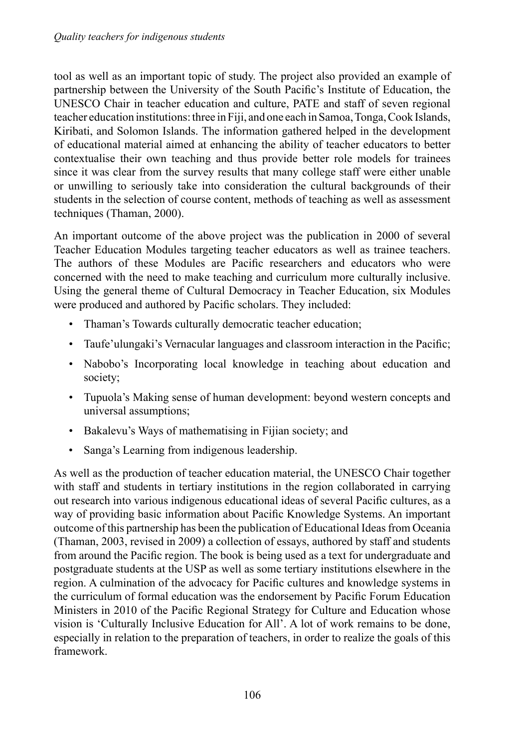tool as well as an important topic of study. The project also provided an example of partnership between the University of the South Pacific's Institute of Education, the UNESCO Chair in teacher education and culture, PATE and staff of seven regional teacher education institutions: three in Fiji, and one each in Samoa, Tonga, Cook Islands, Kiribati, and Solomon Islands. The information gathered helped in the development of educational material aimed at enhancing the ability of teacher educators to better contextualise their own teaching and thus provide better role models for trainees since it was clear from the survey results that many college staff were either unable or unwilling to seriously take into consideration the cultural backgrounds of their students in the selection of course content, methods of teaching as well as assessment techniques (Thaman, 2000).

An important outcome of the above project was the publication in 2000 of several Teacher Education Modules targeting teacher educators as well as trainee teachers. The authors of these Modules are Pacific researchers and educators who were concerned with the need to make teaching and curriculum more culturally inclusive. Using the general theme of Cultural Democracy in Teacher Education, six Modules were produced and authored by Pacific scholars. They included:

- Thaman's Towards culturally democratic teacher education;
- • Taufe'ulungaki's Vernacular languages and classroom interaction in the Pacific;
- Nabobo's Incorporating local knowledge in teaching about education and society;
- • Tupuola's Making sense of human development: beyond western concepts and universal assumptions;
- • Bakalevu's Ways of mathematising in Fijian society; and
- Sanga's Learning from indigenous leadership.

As well as the production of teacher education material, the UNESCO Chair together with staff and students in tertiary institutions in the region collaborated in carrying out research into various indigenous educational ideas of several Pacific cultures, as a way of providing basic information about Pacific Knowledge Systems. An important outcome of this partnership has been the publication of Educational Ideas from Oceania (Thaman, 2003, revised in 2009) a collection of essays, authored by staff and students from around the Pacific region. The book is being used as a text for undergraduate and postgraduate students at the USP as well as some tertiary institutions elsewhere in the region. A culmination of the advocacy for Pacific cultures and knowledge systems in the curriculum of formal education was the endorsement by Pacific Forum Education Ministers in 2010 of the Pacific Regional Strategy for Culture and Education whose vision is 'Culturally Inclusive Education for All'. A lot of work remains to be done, especially in relation to the preparation of teachers, in order to realize the goals of this framework.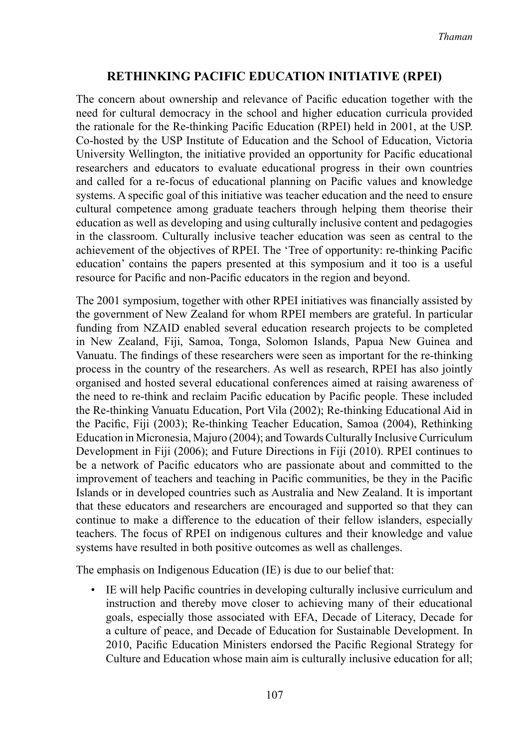#### **Rethinking Pacific Education Initiative (RPEI)**

The concern about ownership and relevance of Pacific education together with the need for cultural democracy in the school and higher education curricula provided the rationale for the Re-thinking Pacific Education (RPEI) held in 2001, at the USP. Co-hosted by the USP Institute of Education and the School of Education, Victoria University Wellington, the initiative provided an opportunity for Pacific educational researchers and educators to evaluate educational progress in their own countries and called for a re-focus of educational planning on Pacific values and knowledge systems. A specific goal of this initiative was teacher education and the need to ensure cultural competence among graduate teachers through helping them theorise their education as well as developing and using culturally inclusive content and pedagogies in the classroom. Culturally inclusive teacher education was seen as central to the achievement of the objectives of RPEI. The 'Tree of opportunity: re-thinking Pacific education' contains the papers presented at this symposium and it too is a useful resource for Pacific and non-Pacific educators in the region and beyond.

The 2001 symposium, together with other RPEI initiatives was financially assisted by the government of New Zealand for whom RPEI members are grateful. In particular funding from NZAID enabled several education research projects to be completed in New Zealand, Fiji, Samoa, Tonga, Solomon Islands, Papua New Guinea and Vanuatu. The findings of these researchers were seen as important for the re-thinking process in the country of the researchers. As well as research, RPEI has also jointly organised and hosted several educational conferences aimed at raising awareness of the need to re-think and reclaim Pacific education by Pacific people. These included the Re-thinking Vanuatu Education, Port Vila (2002); Re-thinking Educational Aid in the Pacific, Fiji (2003); Re-thinking Teacher Education, Samoa (2004), Rethinking Education in Micronesia, Majuro (2004); andTowards Culturally Inclusive Curriculum Development in Fiji (2006); and Future Directions in Fiji (2010). RPEI continues to be a network of Pacific educators who are passionate about and committed to the improvement of teachers and teaching in Pacific communities, be they in the Pacific Islands or in developed countries such as Australia and New Zealand. It is important that these educators and researchers are encouraged and supported so that they can continue to make a difference to the education of their fellow islanders, especially teachers. The focus of RPEI on indigenous cultures and their knowledge and value systems have resulted in both positive outcomes as well as challenges.

The emphasis on Indigenous Education (IE) is due to our belief that:

• IE will help Pacific countries in developing culturally inclusive curriculum and instruction and thereby move closer to achieving many of their educational goals, especially those associated with EFA, Decade of Literacy, Decade for a culture of peace, and Decade of Education for Sustainable Development. In 2010, Pacific Education Ministers endorsed the Pacific Regional Strategy for Culture and Education whose main aim is culturally inclusive education for all;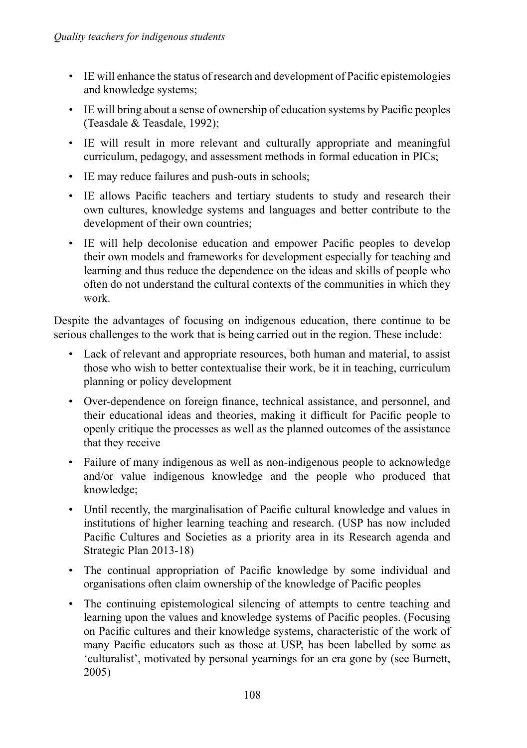- • IE will enhance the status of research and development of Pacific epistemologies and knowledge systems;
- • IE will bring about a sense of ownership of education systems by Pacific peoples (Teasdale & Teasdale, 1992);
- • IE will result in more relevant and culturally appropriate and meaningful curriculum, pedagogy, and assessment methods in formal education in PICs;
- IE may reduce failures and push-outs in schools;
- IE allows Pacific teachers and tertiary students to study and research their own cultures, knowledge systems and languages and better contribute to the development of their own countries;
- IE will help decolonise education and empower Pacific peoples to develop their own models and frameworks for development especially for teaching and learning and thus reduce the dependence on the ideas and skills of people who often do not understand the cultural contexts of the communities in which they work.

Despite the advantages of focusing on indigenous education, there continue to be serious challenges to the work that is being carried out in the region. These include:

- • Lack of relevant and appropriate resources, both human and material, to assist those who wish to better contextualise their work, be it in teaching, curriculum planning or policy development
- • Over-dependence on foreign finance, technical assistance, and personnel, and their educational ideas and theories, making it difficult for Pacific people to openly critique the processes as well as the planned outcomes of the assistance that they receive
- Failure of many indigenous as well as non-indigenous people to acknowledge and/or value indigenous knowledge and the people who produced that knowledge;
- • Until recently, the marginalisation of Pacific cultural knowledge and values in institutions of higher learning teaching and research. (USP has now included Pacific Cultures and Societies as a priority area in its Research agenda and Strategic Plan 2013-18)
- The continual appropriation of Pacific knowledge by some individual and organisations often claim ownership of the knowledge of Pacific peoples
- • The continuing epistemological silencing of attempts to centre teaching and learning upon the values and knowledge systems of Pacific peoples. (Focusing on Pacific cultures and their knowledge systems, characteristic of the work of many Pacific educators such as those at USP, has been labelled by some as 'culturalist', motivated by personal yearnings for an era gone by (see Burnett, 2005)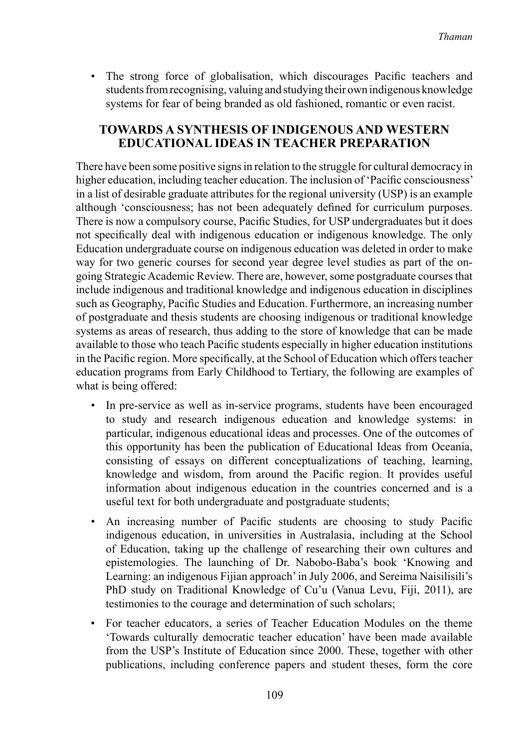The strong force of globalisation, which discourages Pacific teachers and studentsfromrecognising, valuing and studying their own indigenous knowledge systems for fear of being branded as old fashioned, romantic or even racist.

#### **Towards a synthesis of Indigenous and Western educational ideas in teacher preparation**

There have been some positive signs in relation to the struggle for cultural democracy in higher education, including teacher education. The inclusion of 'Pacific consciousness' in a list of desirable graduate attributes for the regional university (USP) is an example although 'consciousness; has not been adequately defined for curriculum purposes. There is now a compulsory course, Pacific Studies, for USP undergraduates but it does not specifically deal with indigenous education or indigenous knowledge. The only Education undergraduate course on indigenous education was deleted in order to make way for two generic courses for second year degree level studies as part of the ongoing Strategic Academic Review. There are, however, some postgraduate courses that include indigenous and traditional knowledge and indigenous education in disciplines such as Geography, Pacific Studies and Education. Furthermore, an increasing number of postgraduate and thesis students are choosing indigenous or traditional knowledge systems as areas of research, thus adding to the store of knowledge that can be made available to those who teach Pacific students especially in higher education institutions in the Pacific region. More specifically, at the School of Education which offersteacher education programs from Early Childhood to Tertiary, the following are examples of what is being offered:

- In pre-service as well as in-service programs, students have been encouraged to study and research indigenous education and knowledge systems: in particular, indigenous educational ideas and processes. One of the outcomes of this opportunity has been the publication of Educational Ideas from Oceania, consisting of essays on different conceptualizations of teaching, learning, knowledge and wisdom, from around the Pacific region. It provides useful information about indigenous education in the countries concerned and is a useful text for both undergraduate and postgraduate students;
- An increasing number of Pacific students are choosing to study Pacific indigenous education, in universities in Australasia, including at the School of Education, taking up the challenge of researching their own cultures and epistemologies. The launching of Dr. Nabobo-Baba's book 'Knowing and Learning: an indigenous Fijian approach'in July 2006, and Sereima Naisilisili's PhD study on Traditional Knowledge of Cu'u (Vanua Levu, Fiji, 2011), are testimonies to the courage and determination of such scholars;
- For teacher educators, a series of Teacher Education Modules on the theme 'Towards culturally democratic teacher education' have been made available from the USP's Institute of Education since 2000. These, together with other publications, including conference papers and student theses, form the core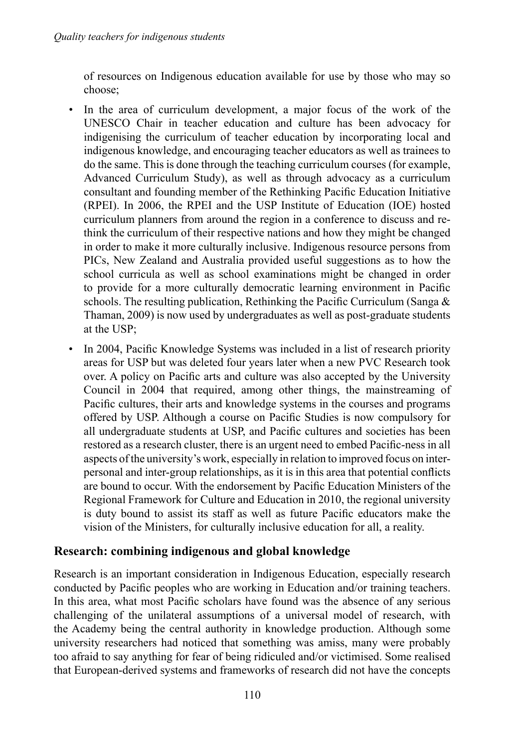of resources on Indigenous education available for use by those who may so choose;

- • In the area of curriculum development, a major focus of the work of the UNESCO Chair in teacher education and culture has been advocacy for indigenising the curriculum of teacher education by incorporating local and indigenous knowledge, and encouraging teacher educators as well as trainees to do the same. This is done through the teaching curriculum courses (for example, Advanced Curriculum Study), as well as through advocacy as a curriculum consultant and founding member of the Rethinking Pacific Education Initiative (RPEI). In 2006, the RPEI and the USP Institute of Education (IOE) hosted curriculum planners from around the region in a conference to discuss and rethink the curriculum of their respective nations and how they might be changed in order to make it more culturally inclusive. Indigenous resource persons from PICs, New Zealand and Australia provided useful suggestions as to how the school curricula as well as school examinations might be changed in order to provide for a more culturally democratic learning environment in Pacific schools. The resulting publication, Rethinking the Pacific Curriculum (Sanga & Thaman, 2009) is now used by undergraduates as well as post-graduate students at the USP;
- In 2004, Pacific Knowledge Systems was included in a list of research priority areas for USP but was deleted four years later when a new PVC Research took over. A policy on Pacific arts and culture was also accepted by the University Council in 2004 that required, among other things, the mainstreaming of Pacific cultures, their arts and knowledge systems in the courses and programs offered by USP. Although a course on Pacific Studies is now compulsory for all undergraduate students at USP, and Pacific cultures and societies has been restored as a research cluster, there is an urgent need to embed Pacific-ness in all aspects ofthe university's work, especially in relation to improved focus on interpersonal and inter-group relationships, as it is in this area that potential conflicts are bound to occur. With the endorsement by Pacific Education Ministers of the Regional Framework for Culture and Education in 2010, the regional university is duty bound to assist its staff as well as future Pacific educators make the vision of the Ministers, for culturally inclusive education for all, a reality.

## **Research: combining indigenous and global knowledge**

Research is an important consideration in Indigenous Education, especially research conducted by Pacific peoples who are working in Education and/or training teachers. In this area, what most Pacific scholars have found was the absence of any serious challenging of the unilateral assumptions of a universal model of research, with the Academy being the central authority in knowledge production. Although some university researchers had noticed that something was amiss, many were probably too afraid to say anything for fear of being ridiculed and/or victimised. Some realised that European-derived systems and frameworks of research did not have the concepts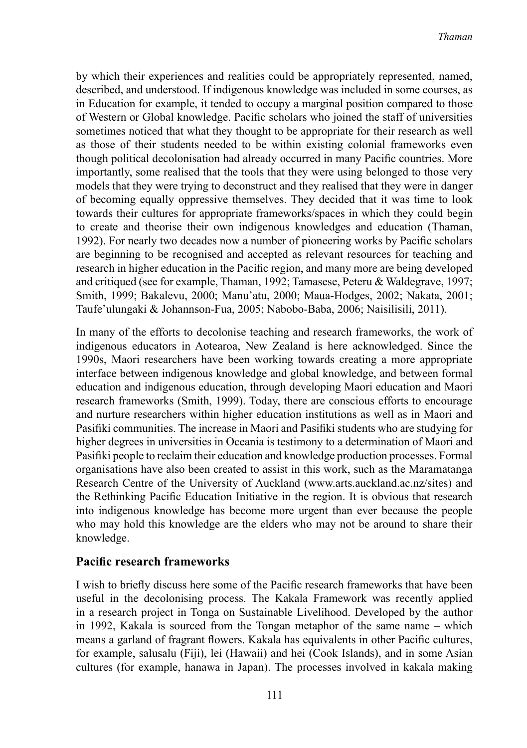by which their experiences and realities could be appropriately represented, named, described, and understood. If indigenous knowledge was included in some courses, as in Education for example, it tended to occupy a marginal position compared to those of Western or Global knowledge. Pacific scholars who joined the staff of universities sometimes noticed that what they thought to be appropriate for their research as well as those of their students needed to be within existing colonial frameworks even though political decolonisation had already occurred in many Pacific countries. More importantly, some realised that the tools that they were using belonged to those very models that they were trying to deconstruct and they realised that they were in danger of becoming equally oppressive themselves. They decided that it was time to look towards their cultures for appropriate frameworks/spaces in which they could begin to create and theorise their own indigenous knowledges and education (Thaman, 1992). For nearly two decades now a number of pioneering works by Pacific scholars are beginning to be recognised and accepted as relevant resources for teaching and research in higher education in the Pacific region, and many more are being developed and critiqued (see for example, Thaman, 1992; Tamasese, Peteru & Waldegrave, 1997; Smith, 1999; Bakalevu, 2000; Manu'atu, 2000; Maua-Hodges, 2002; Nakata, 2001; Taufe'ulungaki & Johannson-Fua, 2005; Nabobo-Baba, 2006; Naisilisili, 2011).

In many of the efforts to decolonise teaching and research frameworks, the work of indigenous educators in Aotearoa, New Zealand is here acknowledged. Since the 1990s, Maori researchers have been working towards creating a more appropriate interface between indigenous knowledge and global knowledge, and between formal education and indigenous education, through developing Maori education and Maori research frameworks (Smith, 1999). Today, there are conscious efforts to encourage and nurture researchers within higher education institutions as well as in Maori and Pasifiki communities. The increase in Maori and Pasifiki students who are studying for higher degrees in universities in Oceania is testimony to a determination of Maori and Pasifiki people to reclaim their education and knowledge production processes. Formal organisations have also been created to assist in this work, such as the Maramatanga Research Centre of the University of Auckland (www.arts.auckland.ac.nz/sites) and the Rethinking Pacific Education Initiative in the region. It is obvious that research into indigenous knowledge has become more urgent than ever because the people who may hold this knowledge are the elders who may not be around to share their knowledge.

#### **Pacific research frameworks**

I wish to briefly discuss here some of the Pacific research frameworks that have been useful in the decolonising process. The Kakala Framework was recently applied in a research project in Tonga on Sustainable Livelihood. Developed by the author in 1992, Kakala is sourced from the Tongan metaphor of the same name – which means a garland of fragrant flowers. Kakala has equivalents in other Pacific cultures, for example, salusalu (Fiji), lei (Hawaii) and hei (Cook Islands), and in some Asian cultures (for example, hanawa in Japan). The processes involved in kakala making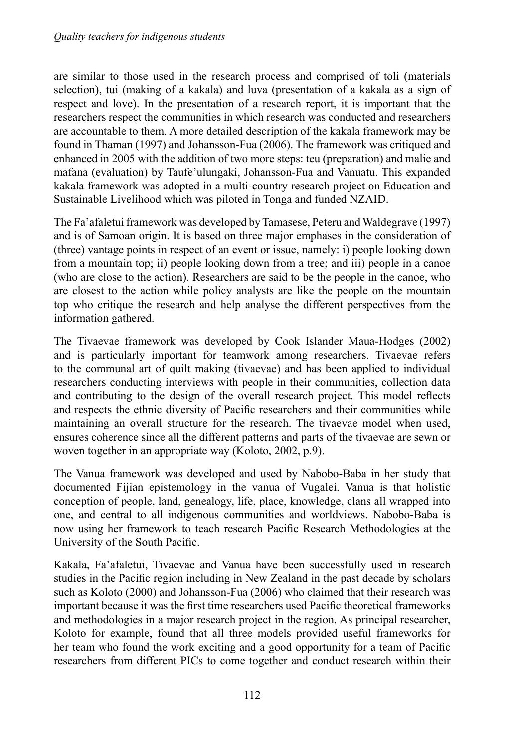are similar to those used in the research process and comprised of toli (materials selection), tui (making of a kakala) and luva (presentation of a kakala as a sign of respect and love). In the presentation of a research report, it is important that the researchers respect the communities in which research was conducted and researchers are accountable to them. A more detailed description of the kakala framework may be found in Thaman (1997) and Johansson-Fua (2006). The framework was critiqued and enhanced in 2005 with the addition of two more steps: teu (preparation) and malie and mafana (evaluation) by Taufe'ulungaki, Johansson-Fua and Vanuatu. This expanded kakala framework was adopted in a multi-country research project on Education and Sustainable Livelihood which was piloted in Tonga and funded NZAID.

The Fa'afaletui framework was developed by Tamasese, Peteru and Waldegrave (1997) and is of Samoan origin. It is based on three major emphases in the consideration of (three) vantage points in respect of an event or issue, namely: i) people looking down from a mountain top; ii) people looking down from a tree; and iii) people in a canoe (who are close to the action). Researchers are said to be the people in the canoe, who are closest to the action while policy analysts are like the people on the mountain top who critique the research and help analyse the different perspectives from the information gathered.

The Tivaevae framework was developed by Cook Islander Maua-Hodges (2002) and is particularly important for teamwork among researchers. Tivaevae refers to the communal art of quilt making (tivaevae) and has been applied to individual researchers conducting interviews with people in their communities, collection data and contributing to the design of the overall research project. This model reflects and respects the ethnic diversity of Pacific researchers and their communities while maintaining an overall structure for the research. The tivaevae model when used, ensures coherence since all the different patterns and parts of the tivaevae are sewn or woven together in an appropriate way (Koloto, 2002, p.9).

The Vanua framework was developed and used by Nabobo-Baba in her study that documented Fijian epistemology in the vanua of Vugalei. Vanua is that holistic conception of people, land, genealogy, life, place, knowledge, clans all wrapped into one, and central to all indigenous communities and worldviews. Nabobo-Baba is now using her framework to teach research Pacific Research Methodologies at the University of the South Pacific.

Kakala, Fa'afaletui, Tivaevae and Vanua have been successfully used in research studies in the Pacific region including in New Zealand in the past decade by scholars such as Koloto (2000) and Johansson-Fua (2006) who claimed that their research was important because it was the first time researchers used Pacific theoretical frameworks and methodologies in a major research project in the region. As principal researcher, Koloto for example, found that all three models provided useful frameworks for her team who found the work exciting and a good opportunity for a team of Pacific researchers from different PICs to come together and conduct research within their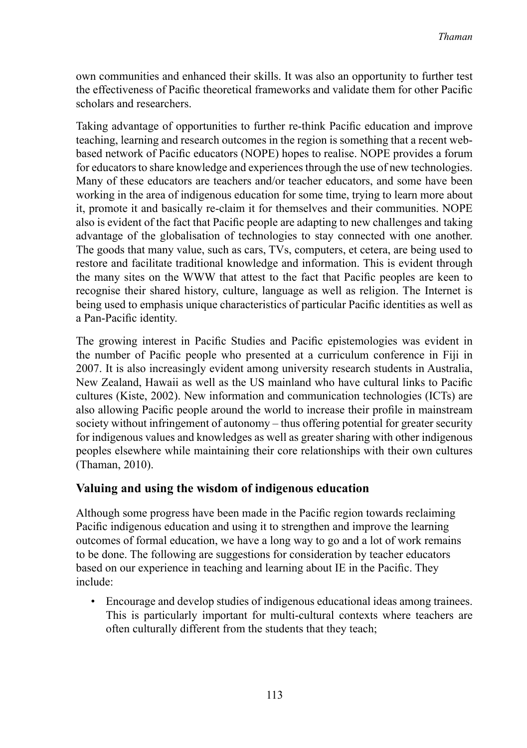own communities and enhanced their skills. It was also an opportunity to further test the effectiveness of Pacific theoretical frameworks and validate them for other Pacific scholars and researchers.

Taking advantage of opportunities to further re-think Pacific education and improve teaching, learning and research outcomes in the region is something that a recent webbased network of Pacific educators (NOPE) hopes to realise. NOPE provides a forum for educators to share knowledge and experiences through the use of new technologies. Many of these educators are teachers and/or teacher educators, and some have been working in the area of indigenous education for some time, trying to learn more about it, promote it and basically re-claim it for themselves and their communities. NOPE also is evident of the fact that Pacific people are adapting to new challenges and taking advantage of the globalisation of technologies to stay connected with one another. The goods that many value, such as cars, TVs, computers, et cetera, are being used to restore and facilitate traditional knowledge and information. This is evident through the many sites on the WWW that attest to the fact that Pacific peoples are keen to recognise their shared history, culture, language as well as religion. The Internet is being used to emphasis unique characteristics of particular Pacific identities as well as a Pan-Pacific identity.

The growing interest in Pacific Studies and Pacific epistemologies was evident in the number of Pacific people who presented at a curriculum conference in Fiji in 2007. It is also increasingly evident among university research students in Australia, New Zealand, Hawaii as well as the US mainland who have cultural links to Pacific cultures (Kiste, 2002). New information and communication technologies (ICTs) are also allowing Pacific people around the world to increase their profile in mainstream society without infringement of autonomy – thus offering potential for greater security for indigenous values and knowledges as well as greater sharing with other indigenous peoples elsewhere while maintaining their core relationships with their own cultures (Thaman, 2010).

## **Valuing and using the wisdom of indigenous education**

Although some progress have been made in the Pacific region towards reclaiming Pacific indigenous education and using it to strengthen and improve the learning outcomes of formal education, we have a long way to go and a lot of work remains to be done. The following are suggestions for consideration by teacher educators based on our experience in teaching and learning about IE in the Pacific. They include:

• Encourage and develop studies of indigenous educational ideas among trainees. This is particularly important for multi-cultural contexts where teachers are often culturally different from the students that they teach;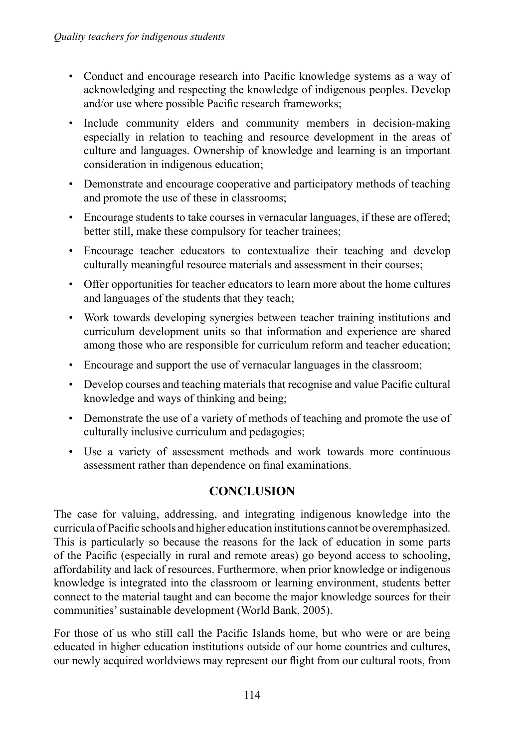- Conduct and encourage research into Pacific knowledge systems as a way of acknowledging and respecting the knowledge of indigenous peoples. Develop and/or use where possible Pacific research frameworks;
- Include community elders and community members in decision-making especially in relation to teaching and resource development in the areas of culture and languages. Ownership of knowledge and learning is an important consideration in indigenous education;
- Demonstrate and encourage cooperative and participatory methods of teaching and promote the use of these in classrooms;
- Encourage students to take courses in vernacular languages, if these are offered; better still, make these compulsory for teacher trainees;
- Encourage teacher educators to contextualize their teaching and develop culturally meaningful resource materials and assessment in their courses;
- • Offer opportunities for teacher educators to learn more about the home cultures and languages of the students that they teach;
- • Work towards developing synergies between teacher training institutions and curriculum development units so that information and experience are shared among those who are responsible for curriculum reform and teacher education;
- Encourage and support the use of vernacular languages in the classroom;
- • Develop courses and teaching materials that recognise and value Pacific cultural knowledge and ways of thinking and being;
- Demonstrate the use of a variety of methods of teaching and promote the use of culturally inclusive curriculum and pedagogies;
- • Use a variety of assessment methods and work towards more continuous assessment rather than dependence on final examinations.

## **Conclusion**

The case for valuing, addressing, and integrating indigenous knowledge into the curricula ofPacific schools and higher education institutions cannot be overemphasized. This is particularly so because the reasons for the lack of education in some parts of the Pacific (especially in rural and remote areas) go beyond access to schooling, affordability and lack of resources. Furthermore, when prior knowledge or indigenous knowledge is integrated into the classroom or learning environment, students better connect to the material taught and can become the major knowledge sources for their communities'sustainable development (World Bank, 2005).

For those of us who still call the Pacific Islands home, but who were or are being educated in higher education institutions outside of our home countries and cultures, our newly acquired worldviews may represent our flight from our cultural roots, from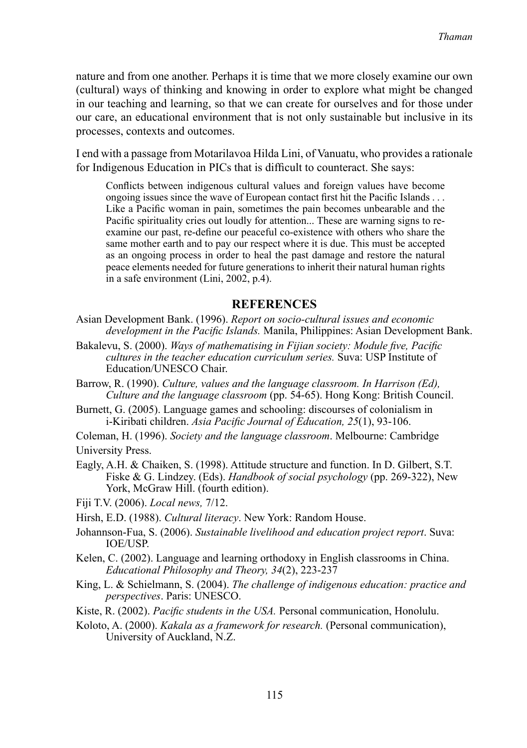nature and from one another. Perhaps it is time that we more closely examine our own (cultural) ways of thinking and knowing in order to explore what might be changed in our teaching and learning, so that we can create for ourselves and for those under our care, an educational environment that is not only sustainable but inclusive in its processes, contexts and outcomes.

I end with a passage from Motarilavoa Hilda Lini, of Vanuatu, who provides a rationale for Indigenous Education in PICs that is difficult to counteract. She says:

Conflicts between indigenous cultural values and foreign values have become ongoing issues since the wave of European contact first hit the Pacific Islands . . . Like a Pacific woman in pain, sometimes the pain becomes unbearable and the Pacific spirituality cries out loudly for attention... These are warning signs to reexamine our past, re-define our peaceful co-existence with others who share the same mother earth and to pay our respect where it is due. This must be accepted as an ongoing process in order to heal the past damage and restore the natural peace elements needed for future generations to inherit their natural human rights in a safe environment (Lini, 2002, p.4).

#### **References**

- Asian Development Bank. (1996). *Report on socio-cultural issues and economic development in the Pacific Islands.* Manila, Philippines: Asian Development Bank.
- Bakalevu, S. (2000). *Ways of mathematising in Fijian society: Module five, Pacific cultures in the teacher education curriculum series.* Suva: USP Institute of Education/UNESCO Chair.
- Barrow, R. (1990). *Culture, values and the language classroom. In Harrison (Ed), Culture and the language classroom* (pp. 54-65). Hong Kong: British Council.
- Burnett, G. (2005). Language games and schooling: discourses of colonialism in i-Kiribati children. *Asia Pacific Journal of Education, 25*(1), 93-106.

Coleman, H. (1996). *Society and the language classroom*. Melbourne: Cambridge

University Press.

Eagly, A.H. & Chaiken, S. (1998). Attitude structure and function. In D. Gilbert, S.T. Fiske & G. Lindzey. (Eds). *Handbook of social psychology* (pp. 269-322), New York, McGraw Hill. (fourth edition).

Fiji T.V. (2006). *Local news,* 7/12.

Hirsh, E.D. (1988). *Cultural literacy*. New York: Random House.

- Johannson-Fua, S. (2006). *Sustainable livelihood and education project report*. Suva: IOE/USP.
- Kelen, C. (2002). Language and learning orthodoxy in English classrooms in China. *Educational Philosophy and Theory, 34*(2), 223-237
- King, L. & Schielmann, S. (2004). *The challenge of indigenous education: practice and perspectives*. Paris: UNESCO.
- Kiste, R. (2002). *Pacific students in the USA.* Personal communication, Honolulu.
- Koloto, A. (2000). *Kakala as a framework for research.* (Personal communication), University of Auckland, N.Z.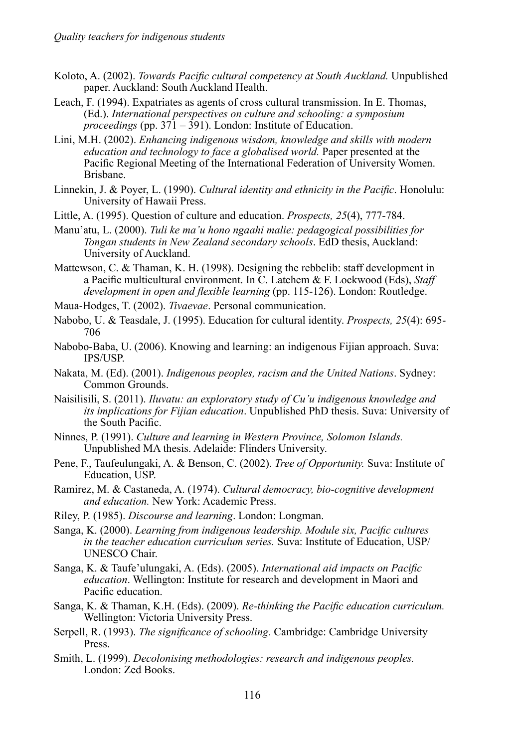- Koloto, A. (2002). *Towards Pacific cultural competency at South Auckland.* Unpublished paper. Auckland: South Auckland Health.
- Leach, F. (1994). Expatriates as agents of cross cultural transmission. In E. Thomas, (Ed.). *International perspectives on culture and schooling: a symposium proceedings* (pp. 371 – 391). London: Institute of Education.
- Lini, M.H. (2002). *Enhancing indigenous wisdom, knowledge and skills with modern education and technology to face a globalised world.* Paper presented at the Pacific Regional Meeting of the International Federation of University Women. Brisbane.
- Linnekin, J. & Poyer, L. (1990). *Cultural identity and ethnicity in the Pacific*. Honolulu: University of Hawaii Press.
- Little, A. (1995). Question of culture and education. *Prospects, 25*(4), 777-784.
- Manu'atu, L. (2000). *Tuli ke ma'u hono ngaahi malie: pedagogical possibilities for Tongan students in New Zealand secondary schools*. EdD thesis, Auckland: University of Auckland.
- Mattewson, C. & Thaman, K. H. (1998). Designing the rebbelib: staff development in a Pacific multicultural environment. In C. Latchem & F. Lockwood (Eds), *Staff development in open and flexible learning* (pp. 115-126). London: Routledge.
- Maua-Hodges, T. (2002). *Tivaevae*. Personal communication.
- Nabobo, U. & Teasdale, J. (1995). Education for cultural identity. *Prospects, 25*(4): 695- 706
- Nabobo-Baba, U. (2006). Knowing and learning: an indigenous Fijian approach. Suva: IPS/USP.
- Nakata, M. (Ed). (2001). *Indigenous peoples, racism and the United Nations*. Sydney: Common Grounds.
- Naisilisili, S. (2011). *Iluvatu: an exploratory study of Cu'u indigenous knowledge and its implications for Fijian education*. Unpublished PhD thesis. Suva: University of the South Pacific.
- Ninnes, P. (1991). *Culture and learning in Western Province, Solomon Islands.* Unpublished MA thesis. Adelaide: Flinders University.
- Pene, F., Taufeulungaki, A. & Benson, C. (2002). *Tree of Opportunity.* Suva: Institute of Education, USP.
- Ramirez, M. & Castaneda, A. (1974). *Cultural democracy, bio-cognitive development and education.* New York: Academic Press.
- Riley, P. (1985). *Discourse and learning*. London: Longman.
- Sanga, K. (2000). *Learning from indigenous leadership. Module six, Pacific cultures in the teacher education curriculum series.* Suva: Institute of Education, USP/ UNESCO Chair.
- Sanga, K. & Taufe'ulungaki, A. (Eds). (2005). *International aid impacts on Pacific education*. Wellington: Institute for research and development in Maori and Pacific education.
- Sanga, K. & Thaman, K.H. (Eds). (2009). *Re-thinking the Pacific education curriculum.*  Wellington: Victoria University Press.
- Serpell, R. (1993). *The significance of schooling.* Cambridge: Cambridge University Press.
- Smith, L. (1999). *Decolonising methodologies: research and indigenous peoples.* London: Zed Books.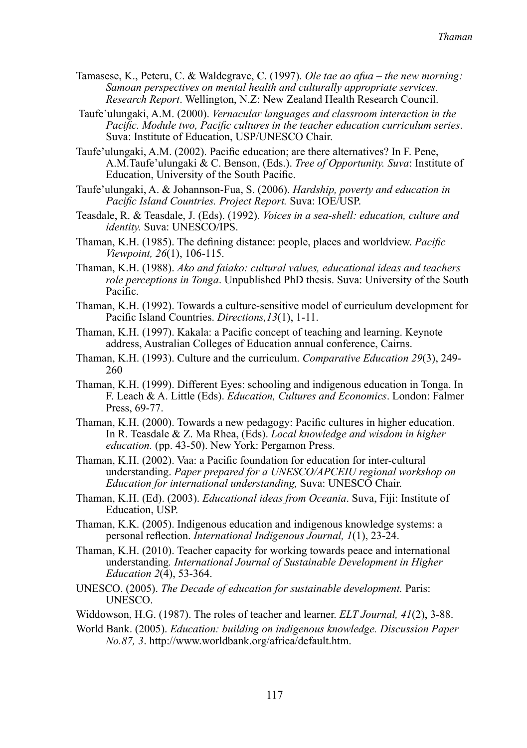- Tamasese, K., Peteru, C. & Waldegrave, C. (1997). *Ole tae ao afua the new morning: Samoan perspectives on mental health and culturally appropriate services. Research Report*. Wellington, N.Z: New Zealand Health Research Council.
- Taufe'ulungaki, A.M. (2000). *Vernacular languages and classroom interaction in the Pacific. Module two, Pacific cultures in the teacher education curriculum series*. Suva: Institute of Education, USP/UNESCO Chair.
- Taufe'ulungaki, A.M. (2002). Pacific education; are there alternatives? In F. Pene, A.M.Taufe'ulungaki & C. Benson, (Eds.). *Tree of Opportunity. Suva*: Institute of Education, University of the South Pacific.
- Taufe'ulungaki, A. & Johannson-Fua, S. (2006). *Hardship, poverty and education in Pacific Island Countries. Project Report.* Suva: IOE/USP.
- Teasdale, R. & Teasdale, J. (Eds). (1992). *Voices in a sea-shell: education, culture and identity.* Suva: UNESCO/IPS.
- Thaman, K.H. (1985). The defining distance: people, places and worldview. *Pacific Viewpoint, 26*(1), 106-115.
- Thaman, K.H. (1988). *Ako and faiako: cultural values, educational ideas and teachers role perceptions in Tonga*. Unpublished PhD thesis. Suva: University of the South Pacific.
- Thaman, K.H. (1992). Towards a culture-sensitive model of curriculum development for Pacific Island Countries. *Directions,13*(1), 1-11.
- Thaman, K.H. (1997). Kakala: a Pacific concept of teaching and learning. Keynote address, Australian Colleges of Education annual conference, Cairns.
- Thaman, K.H. (1993). Culture and the curriculum. *Comparative Education 29*(3), 249- 260
- Thaman, K.H. (1999). Different Eyes: schooling and indigenous education in Tonga. In F. Leach & A. Little (Eds). *Education, Cultures and Economics*. London: Falmer Press, 69-77.
- Thaman, K.H. (2000). Towards a new pedagogy: Pacific cultures in higher education. In R. Teasdale & Z. Ma Rhea, (Eds). *Local knowledge and wisdom in higher education.* (pp. 43-50). New York: Pergamon Press.
- Thaman, K.H. (2002). Vaa: a Pacific foundation for education for inter-cultural understanding. *Paper prepared for a UNESCO/APCEIU regional workshop on Education for international understanding,* Suva: UNESCO Chair.
- Thaman, K.H. (Ed). (2003). *Educational ideas from Oceania*. Suva, Fiji: Institute of Education, USP.
- Thaman, K.K. (2005). Indigenous education and indigenous knowledge systems: a personal reflection. *International Indigenous Journal, 1*(1), 23-24.
- Thaman, K.H. (2010). Teacher capacity for working towards peace and international understanding*. International Journal of Sustainable Development in Higher Education 2*(4), 53-364.
- UNESCO. (2005). *The Decade of education for sustainable development.* Paris: UNESCO.
- Widdowson, H.G. (1987). The roles of teacher and learner. *ELT Journal, 41*(2), 3-88.
- World Bank. (2005). *Education: building on indigenous knowledge. Discussion Paper No.87, 3*. http://www.worldbank.org/africa/default.htm.